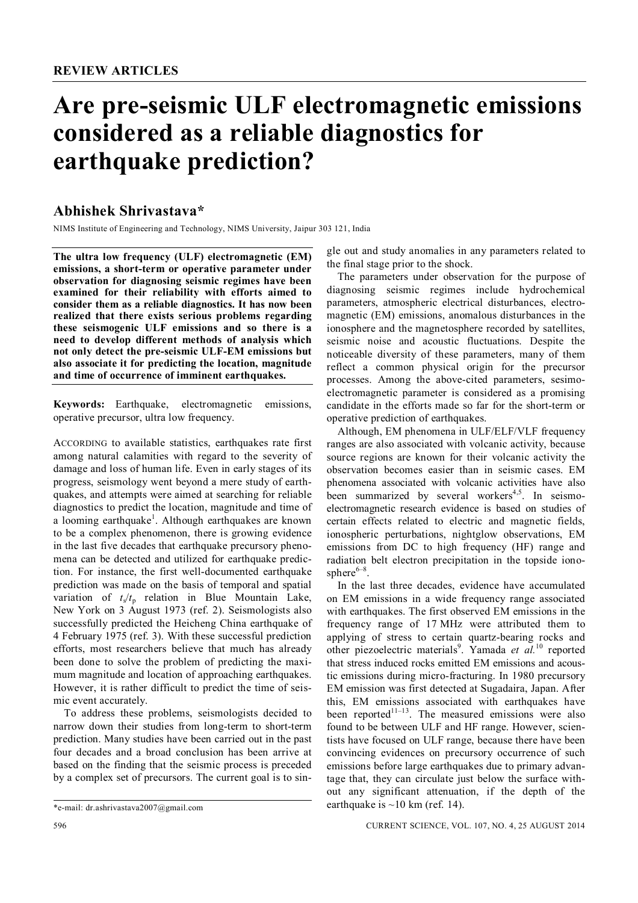# **Are pre-seismic ULF electromagnetic emissions considered as a reliable diagnostics for earthquake prediction?**

## **Abhishek Shrivastava\***

NIMS Institute of Engineering and Technology, NIMS University, Jaipur 303 121, India

**The ultra low frequency (ULF) electromagnetic (EM) emissions, a short-term or operative parameter under observation for diagnosing seismic regimes have been examined for their reliability with efforts aimed to consider them as a reliable diagnostics. It has now been realized that there exists serious problems regarding these seismogenic ULF emissions and so there is a need to develop different methods of analysis which not only detect the pre-seismic ULF-EM emissions but also associate it for predicting the location, magnitude and time of occurrence of imminent earthquakes.**

**Keywords:** Earthquake, electromagnetic emissions, operative precursor, ultra low frequency.

ACCORDING to available statistics, earthquakes rate first among natural calamities with regard to the severity of damage and loss of human life. Even in early stages of its progress, seismology went beyond a mere study of earthquakes, and attempts were aimed at searching for reliable diagnostics to predict the location, magnitude and time of a looming earthquake<sup>1</sup>. Although earthquakes are known to be a complex phenomenon, there is growing evidence in the last five decades that earthquake precursory phenomena can be detected and utilized for earthquake prediction. For instance, the first well-documented earthquake prediction was made on the basis of temporal and spatial variation of  $t_s/t_p$  relation in Blue Mountain Lake, New York on 3 August 1973 (ref. 2). Seismologists also successfully predicted the Heicheng China earthquake of 4 February 1975 (ref. 3). With these successful prediction efforts, most researchers believe that much has already been done to solve the problem of predicting the maximum magnitude and location of approaching earthquakes. However, it is rather difficult to predict the time of seismic event accurately.

To address these problems, seismologists decided to narrow down their studies from long-term to short-term prediction. Many studies have been carried out in the past four decades and a broad conclusion has been arrive at based on the finding that the seismic process is preceded by a complex set of precursors. The current goal is to sin-

gle out and study anomalies in any parameters related to the final stage prior to the shock.

The parameters under observation for the purpose of diagnosing seismic regimes include hydrochemical parameters, atmospheric electrical disturbances, electromagnetic (EM) emissions, anomalous disturbances in the ionosphere and the magnetosphere recorded by satellites, seismic noise and acoustic fluctuations. Despite the noticeable diversity of these parameters, many of them reflect a common physical origin for the precursor processes. Among the above-cited parameters, sesimoelectromagnetic parameter is considered as a promising candidate in the efforts made so far for the short-term or operative prediction of earthquakes.

Although, EM phenomena in ULF/ELF/VLF frequency ranges are also associated with volcanic activity, because source regions are known for their volcanic activity the observation becomes easier than in seismic cases. EM phenomena associated with volcanic activities have also been summarized by several workers<sup>4,5</sup>. In seismoelectromagnetic research evidence is based on studies of certain effects related to electric and magnetic fields, ionospheric perturbations, nightglow observations, EM emissions from DC to high frequency (HF) range and radiation belt electron precipitation in the topside iono $sphere^{6-8}$ .

In the last three decades, evidence have accumulated on EM emissions in a wide frequency range associated with earthquakes. The first observed EM emissions in the frequency range of 17 MHz were attributed them to applying of stress to certain quartz-bearing rocks and other piezoelectric materials<sup>9</sup>. Yamada *et al.*<sup>10</sup> reported that stress induced rocks emitted EM emissions and acoustic emissions during micro-fracturing. In 1980 precursory EM emission was first detected at Sugadaira, Japan. After this, EM emissions associated with earthquakes have been reported $11-13$ . The measured emissions were also found to be between ULF and HF range. However, scientists have focused on ULF range, because there have been convincing evidences on precursory occurrence of such emissions before large earthquakes due to primary advantage that, they can circulate just below the surface without any significant attenuation, if the depth of the earthquake is  $\sim$ 10 km (ref. 14).

<sup>\*</sup>e-mail: dr.ashrivastava2007@gmail.com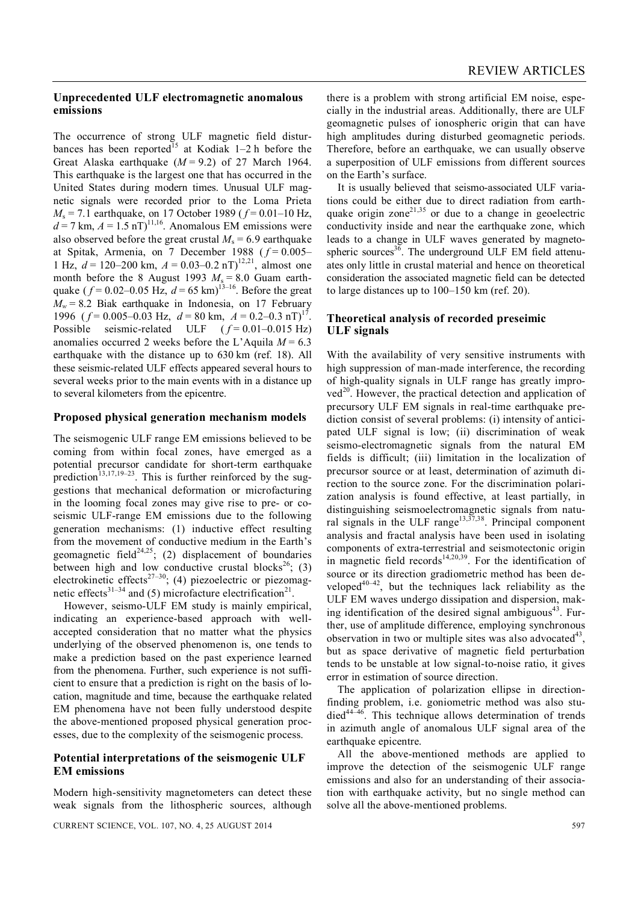#### **Unprecedented ULF electromagnetic anomalous emissions**

The occurrence of strong ULF magnetic field disturbances has been reported<sup>15</sup> at Kodiak 1–2 h before the Great Alaska earthquake  $(M = 9.2)$  of 27 March 1964. This earthquake is the largest one that has occurred in the United States during modern times. Unusual ULF magnetic signals were recorded prior to the Loma Prieta *M*<sup>s</sup> = 7.1 earthquake, on 17 October 1989 ( *f* = 0.01–10 Hz,  $d = 7$  km,  $A = 1.5$  nT)<sup>11,16</sup>. Anomalous EM emissions were also observed before the great crustal  $M_s = 6.9$  earthquake at Spitak, Armenia, on 7 December 1988 ( $f = 0.005-$ 1 Hz,  $d = 120-200$  km,  $A = 0.03-0.2$  nT)<sup>12,21</sup>, almost one month before the 8 August 1993  $M_s = 8.0$  Guam earthquake  $(f = 0.02 - 0.05 \text{ Hz}, d = 65 \text{ km})^{13-16}$ . Before the great  $M_w = 8.2$  Biak earthquake in Indonesia, on 17 February 1996  $(f = 0.005 - 0.03 \text{ Hz}, d = 80 \text{ km}, A = 0.2 - 0.3 \text{ nT})^{17}$ . Possible seismic-related ULF  $(f=0.01-0.015 \text{ Hz})$ anomalies occurred 2 weeks before the L'Aquila  $M = 6.3$ earthquake with the distance up to 630 km (ref. 18). All these seismic-related ULF effects appeared several hours to several weeks prior to the main events with in a distance up to several kilometers from the epicentre.

#### **Proposed physical generation mechanism models**

The seismogenic ULF range EM emissions believed to be coming from within focal zones, have emerged as a potential precursor candidate for short-term earthquake prediction<sup>13,17,19–23</sup>. This is further reinforced by the suggestions that mechanical deformation or microfacturing in the looming focal zones may give rise to pre- or coseismic ULF-range EM emissions due to the following generation mechanisms: (1) inductive effect resulting from the movement of conductive medium in the Earth's geomagnetic field<sup>24,25</sup>; (2) displacement of boundaries between high and low conductive crustal blocks<sup>26</sup>; (3) electrokinetic effects<sup>27–30</sup>; (4) piezoelectric or piezomagnetic effects<sup>31-34</sup> and (5) microfacture electrification<sup>21</sup>.

However, seismo-ULF EM study is mainly empirical, indicating an experience-based approach with wellaccepted consideration that no matter what the physics underlying of the observed phenomenon is, one tends to make a prediction based on the past experience learned from the phenomena. Further, such experience is not sufficient to ensure that a prediction is right on the basis of location, magnitude and time, because the earthquake related EM phenomena have not been fully understood despite the above-mentioned proposed physical generation processes, due to the complexity of the seismogenic process.

#### **Potential interpretations of the seismogenic ULF EM emissions**

Modern high-sensitivity magnetometers can detect these weak signals from the lithospheric sources, although there is a problem with strong artificial EM noise, especially in the industrial areas. Additionally, there are ULF geomagnetic pulses of ionospheric origin that can have high amplitudes during disturbed geomagnetic periods. Therefore, before an earthquake, we can usually observe a superposition of ULF emissions from different sources on the Earth's surface.

It is usually believed that seismo-associated ULF variations could be either due to direct radiation from earthquake origin zone<sup>21,35</sup> or due to a change in geoelectric conductivity inside and near the earthquake zone, which leads to a change in ULF waves generated by magnetospheric sources $3\overline{6}$ . The underground ULF EM field attenuates only little in crustal material and hence on theoretical consideration the associated magnetic field can be detected to large distances up to 100–150 km (ref. 20).

#### **Theoretical analysis of recorded preseimic ULF signals**

With the availability of very sensitive instruments with high suppression of man-made interference, the recording of high-quality signals in ULF range has greatly improved<sup>20</sup>. However, the practical detection and application of precursory ULF EM signals in real-time earthquake prediction consist of several problems: (i) intensity of anticipated ULF signal is low; (ii) discrimination of weak seismo-electromagnetic signals from the natural EM fields is difficult; (iii) limitation in the localization of precursor source or at least, determination of azimuth direction to the source zone. For the discrimination polarization analysis is found effective, at least partially, in distinguishing seismoelectromagnetic signals from natural signals in the ULF range<sup>13,37,38</sup>. Principal component analysis and fractal analysis have been used in isolating components of extra-terrestrial and seismotectonic origin in magnetic field records<sup>14,20,39</sup>. For the identification of source or its direction gradiometric method has been developed $40-42$ , but the techniques lack reliability as the ULF EM waves undergo dissipation and dispersion, making identification of the desired signal ambiguous<sup>43</sup>. Further, use of amplitude difference, employing synchronous observation in two or multiple sites was also advocated $43$ , but as space derivative of magnetic field perturbation tends to be unstable at low signal-to-noise ratio, it gives error in estimation of source direction.

The application of polarization ellipse in directionfinding problem, i.e. goniometric method was also studied<sup>44-46</sup>. This technique allows determination of trends in azimuth angle of anomalous ULF signal area of the earthquake epicentre.

All the above-mentioned methods are applied to improve the detection of the seismogenic ULF range emissions and also for an understanding of their association with earthquake activity, but no single method can solve all the above-mentioned problems.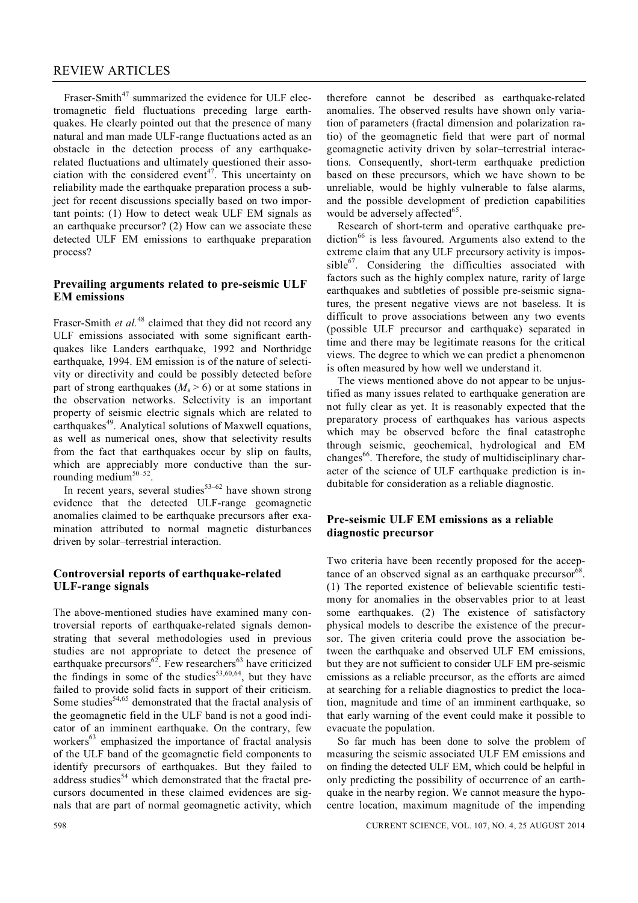### REVIEW ARTICLES

Fraser-Smith<sup>47</sup> summarized the evidence for ULF electromagnetic field fluctuations preceding large earthquakes. He clearly pointed out that the presence of many natural and man made ULF-range fluctuations acted as an obstacle in the detection process of any earthquakerelated fluctuations and ultimately questioned their association with the considered event<sup>47</sup>. This uncertainty on reliability made the earthquake preparation process a subject for recent discussions specially based on two important points: (1) How to detect weak ULF EM signals as an earthquake precursor? (2) How can we associate these detected ULF EM emissions to earthquake preparation process?

#### **Prevailing arguments related to pre-seismic ULF EM emissions**

Fraser-Smith *et al.*<sup>48</sup> claimed that they did not record any ULF emissions associated with some significant earthquakes like Landers earthquake, 1992 and Northridge earthquake, 1994. EM emission is of the nature of selectivity or directivity and could be possibly detected before part of strong earthquakes ( $M_s > 6$ ) or at some stations in the observation networks. Selectivity is an important property of seismic electric signals which are related to earthquakes<sup>49</sup>. Analytical solutions of Maxwell equations, as well as numerical ones, show that selectivity results from the fact that earthquakes occur by slip on faults, which are appreciably more conductive than the surrounding medium<sup>50-52</sup>.

In recent years, several studies $53-62$  have shown strong evidence that the detected ULF-range geomagnetic anomalies claimed to be earthquake precursors after examination attributed to normal magnetic disturbances driven by solar–terrestrial interaction.

#### **Controversial reports of earthquake-related ULF-range signals**

The above-mentioned studies have examined many controversial reports of earthquake-related signals demonstrating that several methodologies used in previous studies are not appropriate to detect the presence of earthquake precursors<sup>62</sup>. Few researchers<sup>63</sup> have criticized the findings in some of the studies<sup>53,60,64</sup>, but they have failed to provide solid facts in support of their criticism. Some studies<sup>54,65</sup> demonstrated that the fractal analysis of the geomagnetic field in the ULF band is not a good indicator of an imminent earthquake. On the contrary, few workers<sup>63</sup> emphasized the importance of fractal analysis of the ULF band of the geomagnetic field components to identify precursors of earthquakes. But they failed to address studies<sup>54</sup> which demonstrated that the fractal precursors documented in these claimed evidences are signals that are part of normal geomagnetic activity, which

therefore cannot be described as earthquake-related anomalies. The observed results have shown only variation of parameters (fractal dimension and polarization ratio) of the geomagnetic field that were part of normal geomagnetic activity driven by solar–terrestrial interactions. Consequently, short-term earthquake prediction based on these precursors, which we have shown to be unreliable, would be highly vulnerable to false alarms, and the possible development of prediction capabilities would be adversely affected<sup>65</sup>.

Research of short-term and operative earthquake pre $diction<sup>66</sup>$  is less favoured. Arguments also extend to the extreme claim that any ULF precursory activity is impossible<sup>67</sup>. Considering the difficulties associated with factors such as the highly complex nature, rarity of large earthquakes and subtleties of possible pre-seismic signatures, the present negative views are not baseless. It is difficult to prove associations between any two events (possible ULF precursor and earthquake) separated in time and there may be legitimate reasons for the critical views. The degree to which we can predict a phenomenon is often measured by how well we understand it.

The views mentioned above do not appear to be unjustified as many issues related to earthquake generation are not fully clear as yet. It is reasonably expected that the preparatory process of earthquakes has various aspects which may be observed before the final catastrophe through seismic, geochemical, hydrological and EM changes<sup>66</sup>. Therefore, the study of multidisciplinary character of the science of ULF earthquake prediction is indubitable for consideration as a reliable diagnostic.

#### **Pre-seismic ULF EM emissions as a reliable diagnostic precursor**

Two criteria have been recently proposed for the acceptance of an observed signal as an earthquake precursor<sup>68</sup>. (1) The reported existence of believable scientific testimony for anomalies in the observables prior to at least some earthquakes. (2) The existence of satisfactory physical models to describe the existence of the precursor. The given criteria could prove the association between the earthquake and observed ULF EM emissions, but they are not sufficient to consider ULF EM pre-seismic emissions as a reliable precursor, as the efforts are aimed at searching for a reliable diagnostics to predict the location, magnitude and time of an imminent earthquake, so that early warning of the event could make it possible to evacuate the population.

So far much has been done to solve the problem of measuring the seismic associated ULF EM emissions and on finding the detected ULF EM, which could be helpful in only predicting the possibility of occurrence of an earthquake in the nearby region. We cannot measure the hypocentre location, maximum magnitude of the impending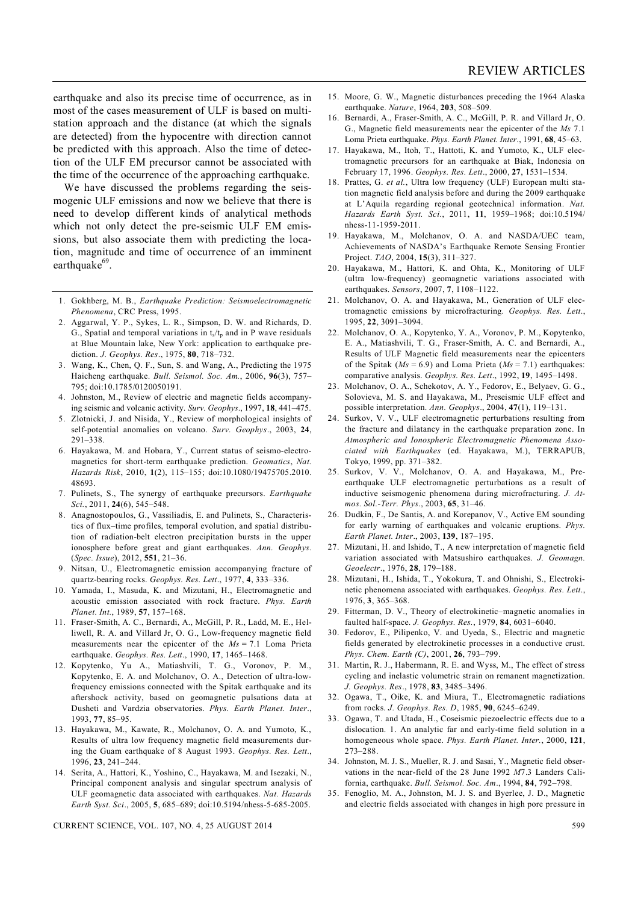earthquake and also its precise time of occurrence, as in most of the cases measurement of ULF is based on multistation approach and the distance (at which the signals are detected) from the hypocentre with direction cannot be predicted with this approach. Also the time of detection of the ULF EM precursor cannot be associated with the time of the occurrence of the approaching earthquake.

We have discussed the problems regarding the seismogenic ULF emissions and now we believe that there is need to develop different kinds of analytical methods which not only detect the pre-seismic ULF EM emissions, but also associate them with predicting the location, magnitude and time of occurrence of an imminent earthquake<sup>69</sup>.

- 1. Gokhberg, M. B., *Earthquake Prediction: Seismoelectromagnetic Phenomena*, CRC Press, 1995.
- 2. Aggarwal, Y. P., Sykes, L. R., Simpson, D. W. and Richards, D. G., Spatial and temporal variations in  $t_s/t_p$  and in P wave residuals at Blue Mountain lake, New York: application to earthquake prediction. *J. Geophys. Res*., 1975, **80**, 718–732.
- 3. Wang, K., Chen, Q. F., Sun, S. and Wang, A., Predicting the 1975 Haicheng earthquake. *Bull. Seismol. Soc. Am.*, 2006, **96**(3), 757– 795; doi:10.1785/0120050191.
- 4. Johnston, M., Review of electric and magnetic fields accompanying seismic and volcanic activity. *Surv. Geophys*., 1997, **18**, 441–475.
- 5. Zlotnicki, J. and Nisida, Y., Review of morphological insights of self-potential anomalies on volcano. *Surv. Geophys*., 2003, **24**, 291–338.
- 6. Hayakawa, M. and Hobara, Y., Current status of seismo-electromagnetics for short-term earthquake prediction. *Geomatics*, *Nat. Hazards Risk*, 2010, **1**(2), 115–155; doi:10.1080/19475705.2010. 48693.
- 7. Pulinets, S., The synergy of earthquake precursors. *Earthquake Sci.*, 2011, **24**(6), 545–548.
- 8. Anagnostopoulos, G., Vassiliadis, E. and Pulinets, S., Characteristics of flux–time profiles, temporal evolution, and spatial distribution of radiation-belt electron precipitation bursts in the upper ionosphere before great and giant earthquakes. *Ann. Geophys.* (*Spec. Issue*), 2012, **551**, 21–36.
- 9. Nitsan, U., Electromagnetic emission accompanying fracture of quartz-bearing rocks. *Geophys. Res. Lett*., 1977, **4**, 333–336.
- 10. Yamada, I., Masuda, K. and Mizutani, H., Electromagnetic and acoustic emission associated with rock fracture. *Phys. Earth Planet. Int.*, 1989, **57**, 157–168.
- 11. Fraser-Smith, A. C., Bernardi, A., McGill, P. R., Ladd, M. E., Helliwell, R. A. and Villard Jr, O. G., Low-frequency magnetic field measurements near the epicenter of the *Ms* = 7.1 Loma Prieta earthquake. *Geophys. Res. Lett*., 1990, **17**, 1465–1468.
- 12. Kopytenko, Yu A., Matiashvili, T. G., Voronov, P. M., Kopytenko, E. A. and Molchanov, O. A., Detection of ultra-lowfrequency emissions connected with the Spitak earthquake and its aftershock activity, based on geomagnetic pulsations data at Dusheti and Vardzia observatories. *Phys. Earth Planet. Inter*., 1993, **77**, 85–95.
- 13. Hayakawa, M., Kawate, R., Molchanov, O. A. and Yumoto, K., Results of ultra low frequency magnetic field measurements during the Guam earthquake of 8 August 1993. *Geophys. Res. Lett*., 1996, **23**, 241–244.
- 14. Serita, A., Hattori, K., Yoshino, C., Hayakawa, M. and Isezaki, N., Principal component analysis and singular spectrum analysis of ULF geomagnetic data associated with earthquakes. *Nat. Hazards Earth Syst. Sci*., 2005, **5**, 685–689; doi:10.5194/nhess-5-685-2005.

CURRENT SCIENCE, VOL. 107, NO. 4, 25 AUGUST 2014 599

- 15. Moore, G. W., Magnetic disturbances preceding the 1964 Alaska earthquake. *Nature*, 1964, **203**, 508–509.
- 16. Bernardi, A., Fraser-Smith, A. C., McGill, P. R. and Villard Jr, O. G., Magnetic field measurements near the epicenter of the *Ms* 7.1 Loma Prieta earthquake. *Phys. Earth Planet. Inter*., 1991, **68**, 45–63.
- 17. Hayakawa, M., Itoh, T., Hattoti, K. and Yumoto, K., ULF electromagnetic precursors for an earthquake at Biak, Indonesia on February 17, 1996. *Geophys. Res. Lett*., 2000, **27**, 1531–1534.
- 18. Prattes, G. *et al.*, Ultra low frequency (ULF) European multi station magnetic field analysis before and during the 2009 earthquake at L'Aquila regarding regional geotechnical information. *Nat. Hazards Earth Syst. Sci.*, 2011, **11**, 1959–1968; doi:10.5194/ nhess-11-1959-2011.
- 19. Hayakawa, M., Molchanov, O. A. and NASDA/UEC team, Achievements of NASDA's Earthquake Remote Sensing Frontier Project. *TAO*, 2004, **15**(3), 311–327.
- 20. Hayakawa, M., Hattori, K. and Ohta, K., Monitoring of ULF (ultra low-frequency) geomagnetic variations associated with earthquakes. *Sensors*, 2007, **7**, 1108–1122.
- 21. Molchanov, O. A. and Hayakawa, M., Generation of ULF electromagnetic emissions by microfracturing. *Geophys. Res. Lett*., 1995, **22**, 3091–3094.
- 22. Molchanov, O. A., Kopytenko, Y. A., Voronov, P. M., Kopytenko, E. A., Matiashvili, T. G., Fraser-Smith, A. C. and Bernardi, A., Results of ULF Magnetic field measurements near the epicenters of the Spitak  $(Ms = 6.9)$  and Loma Prieta  $(Ms = 7.1)$  earthquakes: comparative analysis. *Geophys. Res. Lett*., 1992, **19**, 1495–1498.
- 23. Molchanov, O. A., Schekotov, A. Y., Fedorov, E., Belyaev, G. G., Solovieva, M. S. and Hayakawa, M., Preseismic ULF effect and possible interpretation. *Ann. Geophys*., 2004, **47**(1), 119–131.
- 24. Surkov, V. V., ULF electromagnetic perturbations resulting from the fracture and dilatancy in the earthquake preparation zone. In *Atmospheric and Ionospheric Electromagnetic Phenomena Associated with Earthquakes* (ed. Hayakawa, M.), TERRAPUB, Tokyo, 1999, pp. 371–382.
- 25. Surkov, V. V., Molchanov, O. A. and Hayakawa, M., Preearthquake ULF electromagnetic perturbations as a result of inductive seismogenic phenomena during microfracturing. *J. Atmos. Sol.-Terr. Phys*., 2003, **65**, 31–46.
- 26. Dudkin, F., De Santis, A. and Korepanov, V., Active EM sounding for early warning of earthquakes and volcanic eruptions. *Phys. Earth Planet. Inter*., 2003, **139**, 187–195.
- 27. Mizutani, H. and Ishido, T., A new interpretation of magnetic field variation associated with Matsushiro earthquakes. *J. Geomagn. Geoelectr*., 1976, **28**, 179–188.
- 28. Mizutani, H., Ishida, T., Yokokura, T. and Ohnishi, S., Electrokinetic phenomena associated with earthquakes. *Geophys. Res. Lett*., 1976, **3**, 365–368.
- 29. Fitterman, D. V., Theory of electrokinetic–magnetic anomalies in faulted half-space. *J. Geophys. Res.*, 1979, **84**, 6031–6040.
- 30. Fedorov, E., Pilipenko, V. and Uyeda, S., Electric and magnetic fields generated by electrokinetic processes in a conductive crust. *Phys. Chem. Earth (C)*, 2001, **26**, 793–799.
- 31. Martin, R. J., Habermann, R. E. and Wyss, M., The effect of stress cycling and inelastic volumetric strain on remanent magnetization. *J. Geophys. Res*., 1978, **83**, 3485–3496.
- 32. Ogawa, T., Oike, K. and Miura, T., Electromagnetic radiations from rocks. *J. Geophys. Res. D*, 1985, **90**, 6245–6249.
- 33. Ogawa, T. and Utada, H., Coseismic piezoelectric effects due to a dislocation. 1. An analytic far and early-time field solution in a homogeneous whole space. *Phys. Earth Planet. Inter.*, 2000, **121**, 273–288.
- 34. Johnston, M. J. S., Mueller, R. J. and Sasai, Y., Magnetic field observations in the near-field of the 28 June 1992 *M*7.3 Landers California, earthquake. *Bull. Seismol. Soc. Am*., 1994, **84**, 792–798.
- 35. Fenoglio, M. A., Johnston, M. J. S. and Byerlee, J. D., Magnetic and electric fields associated with changes in high pore pressure in